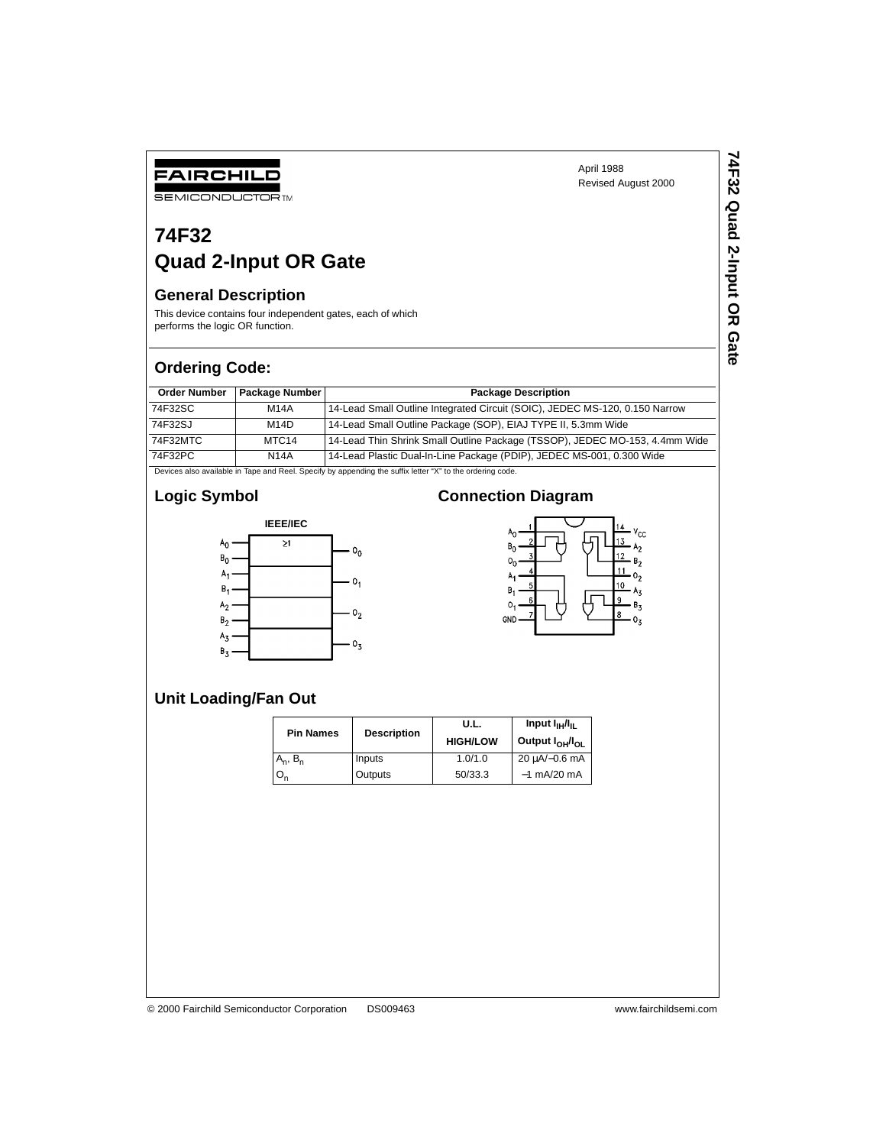# **74F32 Quad 2-Input OR Gate**

#### **General Description**

FAIRCHILD **SEMICONDUCTOR TM** 

This device contains four independent gates, each of which performs the logic OR function.

#### **Ordering Code:**

| <b>Order Number</b>                                                                                       | Package Number    | <b>Package Description</b>                                                  |  |  |  |
|-----------------------------------------------------------------------------------------------------------|-------------------|-----------------------------------------------------------------------------|--|--|--|
| 74F32SC                                                                                                   | <b>M14A</b>       | 14-Lead Small Outline Integrated Circuit (SOIC), JEDEC MS-120, 0.150 Narrow |  |  |  |
| 74F32SJ                                                                                                   | M14D              | 14-Lead Small Outline Package (SOP), EIAJ TYPE II, 5.3mm Wide               |  |  |  |
| 74F32MTC                                                                                                  | MTC <sub>14</sub> | 14-Lead Thin Shrink Small Outline Package (TSSOP), JEDEC MO-153, 4.4mm Wide |  |  |  |
| 74F32PC                                                                                                   | <b>N14A</b>       | 14-Lead Plastic Dual-In-Line Package (PDIP), JEDEC MS-001, 0.300 Wide       |  |  |  |
| Devices also available in Tape and Reel. Specify by appending the suffix letter "X" to the ordering code. |                   |                                                                             |  |  |  |

#### **Logic Symbol**



### **Connection Diagram**



#### **Unit Loading/Fan Out**

| <b>Pin Names</b> | <b>Description</b> | U.L.<br><b>HIGH/LOW</b> | Input $I_{\text{H}}/I_{\text{H}}$<br>Output I <sub>OH</sub> /I <sub>OL</sub> |  |  |
|------------------|--------------------|-------------------------|------------------------------------------------------------------------------|--|--|
| $A_n$ , $B_n$    | Inputs             | 1.0/1.0                 | 20 uA/-0.6 mA                                                                |  |  |
|                  | Outputs            | 50/33.3                 | $-1$ mA/20 mA                                                                |  |  |

© 2000 Fairchild Semiconductor Corporation DS009463 www.fairchildsemi.com